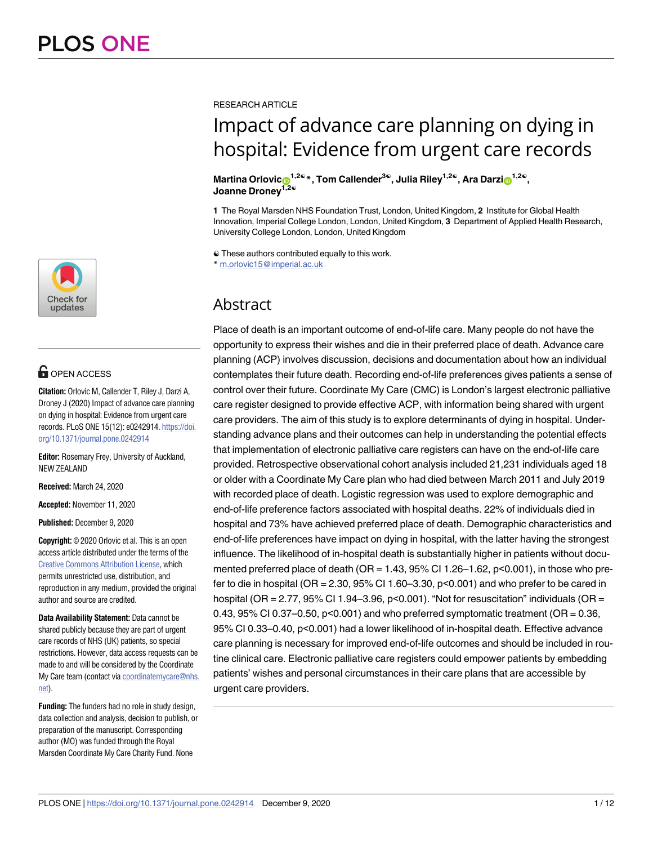

# **OPEN ACCESS**

**Citation:** Orlovic M, Callender T, Riley J, Darzi A, Droney J (2020) Impact of advance care planning on dying in hospital: Evidence from urgent care records. PLoS ONE 15(12): e0242914. [https://doi.](https://doi.org/10.1371/journal.pone.0242914) [org/10.1371/journal.pone.0242914](https://doi.org/10.1371/journal.pone.0242914)

**Editor:** Rosemary Frey, University of Auckland, NEW ZEALAND

**Received:** March 24, 2020

**Accepted:** November 11, 2020

**Published:** December 9, 2020

**Copyright:** © 2020 Orlovic et al. This is an open access article distributed under the terms of the Creative Commons [Attribution](http://creativecommons.org/licenses/by/4.0/) License, which permits unrestricted use, distribution, and reproduction in any medium, provided the original author and source are credited.

**Data Availability Statement:** Data cannot be shared publicly because they are part of urgent care records of NHS (UK) patients, so special restrictions. However, data access requests can be made to and will be considered by the Coordinate My Care team (contact via [coordinatemycare@nhs.](mailto:coordinatemycare@nhs.net) [net](mailto:coordinatemycare@nhs.net)).

**Funding:** The funders had no role in study design, data collection and analysis, decision to publish, or preparation of the manuscript. Corresponding author (MO) was funded through the Royal Marsden Coordinate My Care Charity Fund. None

RESEARCH ARTICLE

# Impact of advance care planning on dying in hospital: Evidence from urgent care records

 $M$ artina Orlovic $\theta^{1,2\mathbb{Q}}$ <sup>\*</sup>, Tom Callender<sup>3</sup><sup>©</sup>, Julia Riley<sup>1,2©</sup>, Ara Darzi $\theta^{1,2\mathbb{Q}}$ , **Joanne Droney1,2**☯

**1** The Royal Marsden NHS Foundation Trust, London, United Kingdom, **2** Institute for Global Health Innovation, Imperial College London, London, United Kingdom, **3** Department of Applied Health Research, University College London, London, United Kingdom

☯ These authors contributed equally to this work. \* m.orlovic15@imperial.ac.uk

# Abstract

Place of death is an important outcome of end-of-life care. Many people do not have the opportunity to express their wishes and die in their preferred place of death. Advance care planning (ACP) involves discussion, decisions and documentation about how an individual contemplates their future death. Recording end-of-life preferences gives patients a sense of control over their future. Coordinate My Care (CMC) is London's largest electronic palliative care register designed to provide effective ACP, with information being shared with urgent care providers. The aim of this study is to explore determinants of dying in hospital. Understanding advance plans and their outcomes can help in understanding the potential effects that implementation of electronic palliative care registers can have on the end-of-life care provided. Retrospective observational cohort analysis included 21,231 individuals aged 18 or older with a Coordinate My Care plan who had died between March 2011 and July 2019 with recorded place of death. Logistic regression was used to explore demographic and end-of-life preference factors associated with hospital deaths. 22% of individuals died in hospital and 73% have achieved preferred place of death. Demographic characteristics and end-of-life preferences have impact on dying in hospital, with the latter having the strongest influence. The likelihood of in-hospital death is substantially higher in patients without documented preferred place of death (OR = 1.43, 95% CI 1.26–1.62, p<0.001), in those who prefer to die in hospital (OR = 2.30, 95% CI 1.60–3.30, p<0.001) and who prefer to be cared in hospital (OR = 2.77, 95% CI 1.94-3.96, p<0.001). "Not for resuscitation" individuals (OR = 0.43,  $95\%$  CI 0.37–0.50,  $p<0.001$  and who preferred symptomatic treatment (OR = 0.36, 95% CI 0.33–0.40, p<0.001) had a lower likelihood of in-hospital death. Effective advance care planning is necessary for improved end-of-life outcomes and should be included in routine clinical care. Electronic palliative care registers could empower patients by embedding patients' wishes and personal circumstances in their care plans that are accessible by urgent care providers.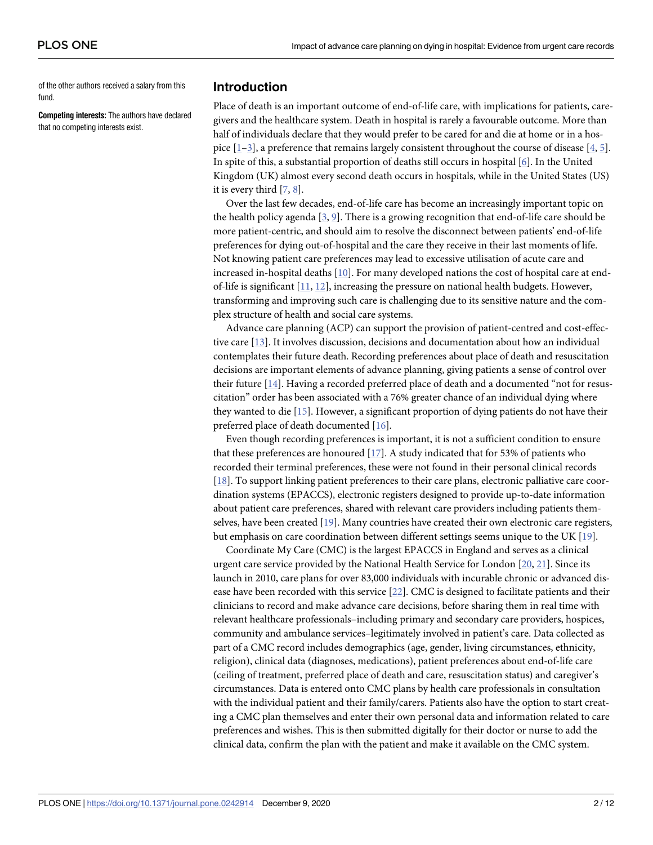<span id="page-1-0"></span>of the other authors received a salary from this fund.

**Competing interests:** The authors have declared that no competing interests exist.

# **Introduction**

Place of death is an important outcome of end-of-life care, with implications for patients, caregivers and the healthcare system. Death in hospital is rarely a favourable outcome. More than half of individuals declare that they would prefer to be cared for and die at home or in a hospice  $[1-3]$ , a preference that remains largely consistent throughout the course of disease  $[4, 5]$  $[4, 5]$  $[4, 5]$  $[4, 5]$ . In spite of this, a substantial proportion of deaths still occurs in hospital [\[6](#page-9-0)]. In the United Kingdom (UK) almost every second death occurs in hospitals, while in the United States (US) it is every third [\[7](#page-9-0), [8](#page-9-0)].

Over the last few decades, end-of-life care has become an increasingly important topic on the health policy agenda [[3,](#page-9-0) [9\]](#page-9-0). There is a growing recognition that end-of-life care should be more patient-centric, and should aim to resolve the disconnect between patients' end-of-life preferences for dying out-of-hospital and the care they receive in their last moments of life. Not knowing patient care preferences may lead to excessive utilisation of acute care and increased in-hospital deaths [[10](#page-9-0)]. For many developed nations the cost of hospital care at endof-life is significant  $[11, 12]$  $[11, 12]$  $[11, 12]$  $[11, 12]$  $[11, 12]$ , increasing the pressure on national health budgets. However, transforming and improving such care is challenging due to its sensitive nature and the complex structure of health and social care systems.

Advance care planning (ACP) can support the provision of patient-centred and cost-effective care [[13](#page-9-0)]. It involves discussion, decisions and documentation about how an individual contemplates their future death. Recording preferences about place of death and resuscitation decisions are important elements of advance planning, giving patients a sense of control over their future [\[14\]](#page-9-0). Having a recorded preferred place of death and a documented "not for resuscitation" order has been associated with a 76% greater chance of an individual dying where they wanted to die [[15](#page-9-0)]. However, a significant proportion of dying patients do not have their preferred place of death documented [\[16\]](#page-9-0).

Even though recording preferences is important, it is not a sufficient condition to ensure that these preferences are honoured  $[17]$  $[17]$  $[17]$ . A study indicated that for 53% of patients who recorded their terminal preferences, these were not found in their personal clinical records [\[18\]](#page-9-0). To support linking patient preferences to their care plans, electronic palliative care coordination systems (EPACCS), electronic registers designed to provide up-to-date information about patient care preferences, shared with relevant care providers including patients themselves, have been created [[19](#page-10-0)]. Many countries have created their own electronic care registers, but emphasis on care coordination between different settings seems unique to the UK [[19](#page-10-0)].

Coordinate My Care (CMC) is the largest EPACCS in England and serves as a clinical urgent care service provided by the National Health Service for London [\[20,](#page-10-0) [21\]](#page-10-0). Since its launch in 2010, care plans for over 83,000 individuals with incurable chronic or advanced disease have been recorded with this service [[22](#page-10-0)]. CMC is designed to facilitate patients and their clinicians to record and make advance care decisions, before sharing them in real time with relevant healthcare professionals–including primary and secondary care providers, hospices, community and ambulance services–legitimately involved in patient's care. Data collected as part of a CMC record includes demographics (age, gender, living circumstances, ethnicity, religion), clinical data (diagnoses, medications), patient preferences about end-of-life care (ceiling of treatment, preferred place of death and care, resuscitation status) and caregiver's circumstances. Data is entered onto CMC plans by health care professionals in consultation with the individual patient and their family/carers. Patients also have the option to start creating a CMC plan themselves and enter their own personal data and information related to care preferences and wishes. This is then submitted digitally for their doctor or nurse to add the clinical data, confirm the plan with the patient and make it available on the CMC system.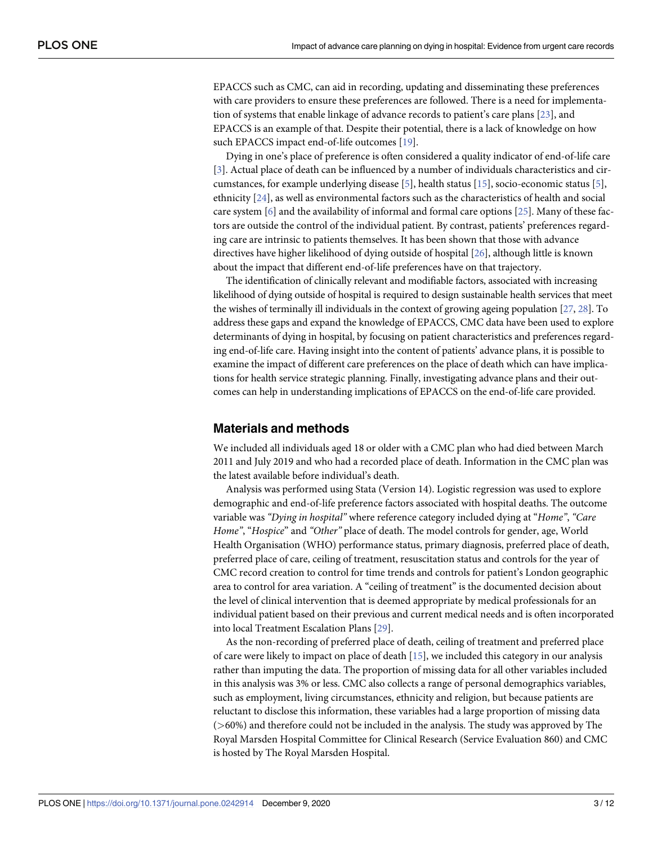<span id="page-2-0"></span>EPACCS such as CMC, can aid in recording, updating and disseminating these preferences with care providers to ensure these preferences are followed. There is a need for implementation of systems that enable linkage of advance records to patient's care plans [[23](#page-10-0)], and EPACCS is an example of that. Despite their potential, there is a lack of knowledge on how such EPACCS impact end-of-life outcomes [\[19\]](#page-10-0).

Dying in one's place of preference is often considered a quality indicator of end-of-life care [\[3](#page-9-0)]. Actual place of death can be influenced by a number of individuals characteristics and circumstances, for example underlying disease [[5](#page-9-0)], health status [\[15\]](#page-9-0), socio-economic status [[5](#page-9-0)], ethnicity [[24](#page-10-0)], as well as environmental factors such as the characteristics of health and social care system [\[6](#page-9-0)] and the availability of informal and formal care options [[25](#page-10-0)]. Many of these factors are outside the control of the individual patient. By contrast, patients' preferences regarding care are intrinsic to patients themselves. It has been shown that those with advance directives have higher likelihood of dying outside of hospital [\[26\]](#page-10-0), although little is known about the impact that different end-of-life preferences have on that trajectory.

The identification of clinically relevant and modifiable factors, associated with increasing likelihood of dying outside of hospital is required to design sustainable health services that meet the wishes of terminally ill individuals in the context of growing ageing population [\[27,](#page-10-0) [28\]](#page-10-0). To address these gaps and expand the knowledge of EPACCS, CMC data have been used to explore determinants of dying in hospital, by focusing on patient characteristics and preferences regarding end-of-life care. Having insight into the content of patients' advance plans, it is possible to examine the impact of different care preferences on the place of death which can have implications for health service strategic planning. Finally, investigating advance plans and their outcomes can help in understanding implications of EPACCS on the end-of-life care provided.

#### **Materials and methods**

We included all individuals aged 18 or older with a CMC plan who had died between March 2011 and July 2019 and who had a recorded place of death. Information in the CMC plan was the latest available before individual's death.

Analysis was performed using Stata (Version 14). Logistic regression was used to explore demographic and end-of-life preference factors associated with hospital deaths. The outcome variable was *"Dying in hospital"* where reference category included dying at "*Home"*, *"Care Home"*, "*Hospice*" and *"Other"* place of death. The model controls for gender, age, World Health Organisation (WHO) performance status, primary diagnosis, preferred place of death, preferred place of care, ceiling of treatment, resuscitation status and controls for the year of CMC record creation to control for time trends and controls for patient's London geographic area to control for area variation. A "ceiling of treatment" is the documented decision about the level of clinical intervention that is deemed appropriate by medical professionals for an individual patient based on their previous and current medical needs and is often incorporated into local Treatment Escalation Plans [[29](#page-10-0)].

As the non-recording of preferred place of death, ceiling of treatment and preferred place of care were likely to impact on place of death [[15](#page-9-0)], we included this category in our analysis rather than imputing the data. The proportion of missing data for all other variables included in this analysis was 3% or less. CMC also collects a range of personal demographics variables, such as employment, living circumstances, ethnicity and religion, but because patients are reluctant to disclose this information, these variables had a large proportion of missing data (*>*60%) and therefore could not be included in the analysis. The study was approved by The Royal Marsden Hospital Committee for Clinical Research (Service Evaluation 860) and CMC is hosted by The Royal Marsden Hospital.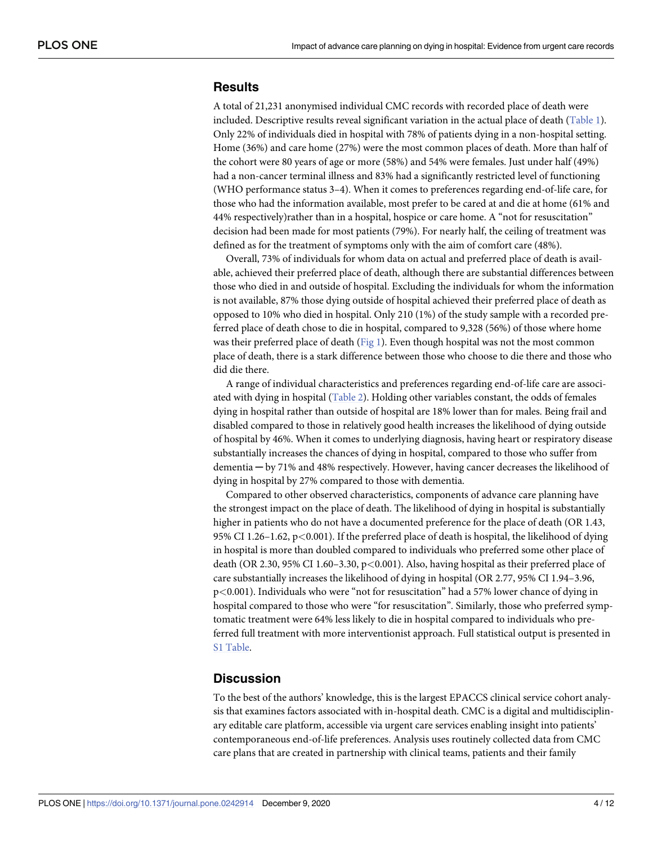# <span id="page-3-0"></span>**Results**

A total of 21,231 anonymised individual CMC records with recorded place of death were included. Descriptive results reveal significant variation in the actual place of death [\(Table](#page-4-0) 1). Only 22% of individuals died in hospital with 78% of patients dying in a non-hospital setting. Home (36%) and care home (27%) were the most common places of death. More than half of the cohort were 80 years of age or more (58%) and 54% were females. Just under half (49%) had a non-cancer terminal illness and 83% had a significantly restricted level of functioning (WHO performance status 3–4). When it comes to preferences regarding end-of-life care, for those who had the information available, most prefer to be cared at and die at home (61% and 44% respectively)rather than in a hospital, hospice or care home. A "not for resuscitation" decision had been made for most patients (79%). For nearly half, the ceiling of treatment was defined as for the treatment of symptoms only with the aim of comfort care (48%).

Overall, 73% of individuals for whom data on actual and preferred place of death is available, achieved their preferred place of death, although there are substantial differences between those who died in and outside of hospital. Excluding the individuals for whom the information is not available, 87% those dying outside of hospital achieved their preferred place of death as opposed to 10% who died in hospital. Only 210 (1%) of the study sample with a recorded preferred place of death chose to die in hospital, compared to 9,328 (56%) of those where home was their preferred place of death ([Fig](#page-5-0) 1). Even though hospital was not the most common place of death, there is a stark difference between those who choose to die there and those who did die there.

A range of individual characteristics and preferences regarding end-of-life care are associated with dying in hospital [\(Table](#page-6-0) 2). Holding other variables constant, the odds of females dying in hospital rather than outside of hospital are 18% lower than for males. Being frail and disabled compared to those in relatively good health increases the likelihood of dying outside of hospital by 46%. When it comes to underlying diagnosis, having heart or respiratory disease substantially increases the chances of dying in hospital, compared to those who suffer from dementia ─ by 71% and 48% respectively. However, having cancer decreases the likelihood of dying in hospital by 27% compared to those with dementia.

Compared to other observed characteristics, components of advance care planning have the strongest impact on the place of death. The likelihood of dying in hospital is substantially higher in patients who do not have a documented preference for the place of death (OR 1.43, 95% CI 1.26–1.62, p*<*0.001). If the preferred place of death is hospital, the likelihood of dying in hospital is more than doubled compared to individuals who preferred some other place of death (OR 2.30, 95% CI 1.60–3.30, p*<*0.001). Also, having hospital as their preferred place of care substantially increases the likelihood of dying in hospital (OR 2.77, 95% CI 1.94–3.96, p*<*0.001). Individuals who were "not for resuscitation" had a 57% lower chance of dying in hospital compared to those who were "for resuscitation". Similarly, those who preferred symptomatic treatment were 64% less likely to die in hospital compared to individuals who preferred full treatment with more interventionist approach. Full statistical output is presented in S1 [Table.](#page-8-0)

## **Discussion**

To the best of the authors' knowledge, this is the largest EPACCS clinical service cohort analysis that examines factors associated with in-hospital death. CMC is a digital and multidisciplinary editable care platform, accessible via urgent care services enabling insight into patients' contemporaneous end-of-life preferences. Analysis uses routinely collected data from CMC care plans that are created in partnership with clinical teams, patients and their family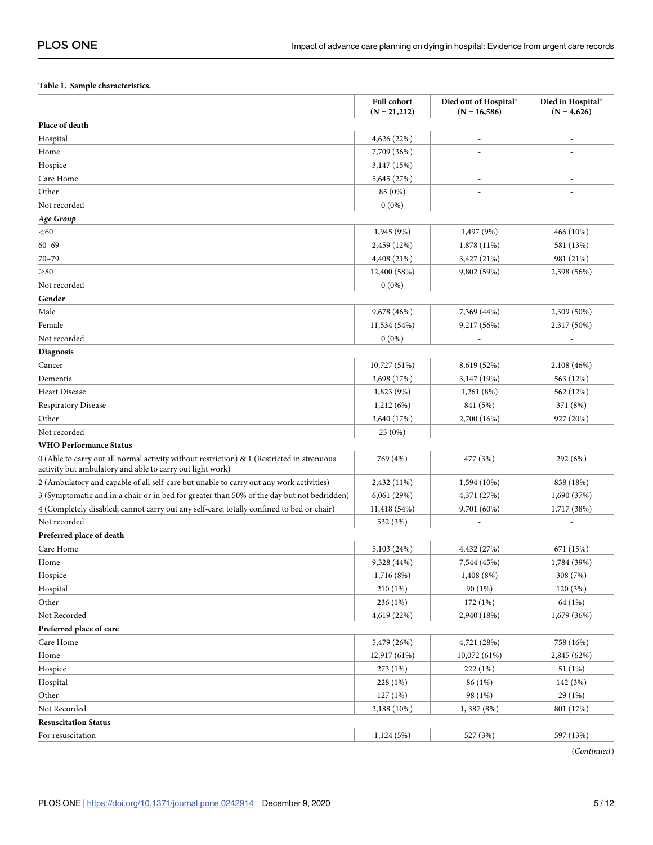#### <span id="page-4-0"></span>**[Table](#page-3-0) 1. Sample characteristics.**

|                                                                                                                                                         | <b>Full cohort</b><br>$(N = 21,212)$ | Died out of Hospital*<br>$(N = 16,586)$ | Died in Hospital*<br>$(N = 4,626)$ |
|---------------------------------------------------------------------------------------------------------------------------------------------------------|--------------------------------------|-----------------------------------------|------------------------------------|
| Place of death                                                                                                                                          |                                      |                                         |                                    |
| Hospital                                                                                                                                                | 4,626 (22%)                          |                                         |                                    |
| Home                                                                                                                                                    | 7,709 (36%)                          |                                         |                                    |
| Hospice                                                                                                                                                 | 3,147 (15%)                          |                                         |                                    |
| Care Home                                                                                                                                               | 5,645 (27%)                          | $\overline{\phantom{a}}$                | $\overline{\phantom{a}}$           |
| Other                                                                                                                                                   | 85 (0%)                              | $\overline{a}$                          | $\overline{\phantom{a}}$           |
| Not recorded                                                                                                                                            | $0(0\%)$                             |                                         |                                    |
| Age Group                                                                                                                                               |                                      |                                         |                                    |
| $<$ 60                                                                                                                                                  | 1,945 (9%)                           | 1,497 (9%)                              | 466 (10%)                          |
| $60 - 69$                                                                                                                                               | 2,459 (12%)                          | 1,878 (11%)                             | 581 (13%)                          |
| $70 - 79$                                                                                                                                               | 4,408 (21%)                          | 3,427 (21%)                             | 981 (21%)                          |
| > 80                                                                                                                                                    | 12,400 (58%)                         | 9,802 (59%)                             | 2,598 (56%)                        |
| Not recorded                                                                                                                                            | $0(0\%)$                             |                                         |                                    |
| Gender                                                                                                                                                  |                                      |                                         |                                    |
| Male                                                                                                                                                    | 9,678 (46%)                          | 7,369 (44%)                             | 2,309 (50%)                        |
| Female                                                                                                                                                  | 11,534 (54%)                         | 9,217 (56%)                             | 2,317 (50%)                        |
| Not recorded                                                                                                                                            | $0(0\%)$                             |                                         |                                    |
| Diagnosis                                                                                                                                               |                                      |                                         |                                    |
| Cancer                                                                                                                                                  | 10,727 (51%)                         | 8,619 (52%)                             | 2,108 (46%)                        |
| Dementia                                                                                                                                                | 3,698 (17%)                          | 3,147 (19%)                             | 563 (12%)                          |
| <b>Heart Disease</b>                                                                                                                                    | 1,823 (9%)                           | 1,261(8%)                               | 562 (12%)                          |
| <b>Respiratory Disease</b>                                                                                                                              | 1,212(6%)                            | 841 (5%)                                | 371 (8%)                           |
| Other                                                                                                                                                   | 3,640 (17%)                          | 2,700 (16%)                             | 927 (20%)                          |
| Not recorded                                                                                                                                            | 23(0%)                               |                                         | $\overline{\phantom{a}}$           |
| <b>WHO Performance Status</b>                                                                                                                           |                                      |                                         |                                    |
| 0 (Able to carry out all normal activity without restriction) & 1 (Restricted in strenuous<br>activity but ambulatory and able to carry out light work) | 769 (4%)                             | 477 (3%)                                | 292 (6%)                           |
| 2 (Ambulatory and capable of all self-care but unable to carry out any work activities)                                                                 | 2,432 (11%)                          | 1,594 (10%)                             | 838 (18%)                          |
| 3 (Symptomatic and in a chair or in bed for greater than 50% of the day but not bedridden)                                                              | 6,061(29%)                           | 4,371 (27%)                             | 1,690 (37%)                        |
| 4 (Completely disabled; cannot carry out any self-care; totally confined to bed or chair)                                                               | 11,418 (54%)                         | 9,701 (60%)                             | 1,717 (38%)                        |
| Not recorded                                                                                                                                            | 532 (3%)                             |                                         |                                    |
| Preferred place of death                                                                                                                                |                                      |                                         |                                    |
| Care Home                                                                                                                                               | 5,103 (24%)                          | 4,432 (27%)                             | 671 (15%)                          |
| Home                                                                                                                                                    | 9,328 (44%)                          | 7,544 (45%)                             | 1,784 (39%)                        |
| Hospice                                                                                                                                                 | 1,716 (8%)                           | 1,408 (8%)                              | 308 (7%)                           |
| Hospital                                                                                                                                                | 210 (1%)                             | 90 (1%)                                 | 120 (3%)                           |
| Other                                                                                                                                                   | 236 (1%)                             | 172 (1%)                                | 64 (1%)                            |
| Not Recorded                                                                                                                                            | 4,619 (22%)                          | 2,940 (18%)                             | 1,679 (36%)                        |
| Preferred place of care                                                                                                                                 |                                      |                                         |                                    |
| Care Home                                                                                                                                               | 5,479 (26%)                          | 4,721 (28%)                             | 758 (16%)                          |
| Home                                                                                                                                                    | 12,917 (61%)                         | 10,072 (61%)                            | 2,845 (62%)                        |
| Hospice                                                                                                                                                 | 273 (1%)                             | 222 (1%)                                | 51 (1%)                            |
| Hospital                                                                                                                                                | 228 (1%)                             | 86 (1%)                                 | 142 (3%)                           |
| Other                                                                                                                                                   | 127(1%)                              | 98 (1%)                                 | 29 (1%)                            |
| Not Recorded                                                                                                                                            | 2,188 (10%)                          | 1, 387 (8%)                             | 801 (17%)                          |
| <b>Resuscitation Status</b>                                                                                                                             |                                      |                                         |                                    |
| For resuscitation                                                                                                                                       | 1,124 (5%)                           | 527 (3%)                                | 597 (13%)                          |

(*Continued*)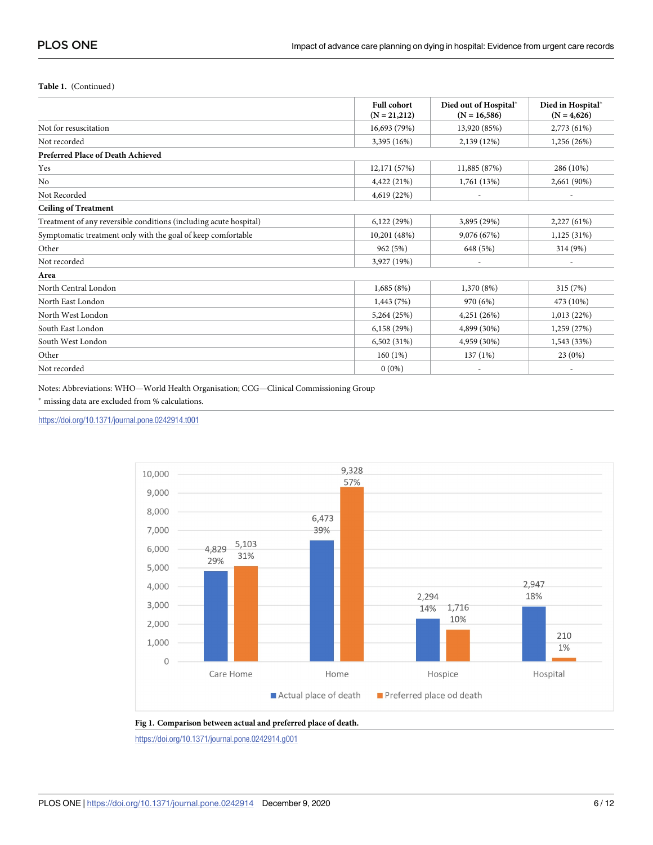#### <span id="page-5-0"></span>**Table 1.** (Continued)

|                                                                   | <b>Full cohort</b><br>$(N = 21,212)$ | Died out of Hospital*<br>$(N = 16,586)$ | Died in Hospital*<br>$(N = 4,626)$ |
|-------------------------------------------------------------------|--------------------------------------|-----------------------------------------|------------------------------------|
| Not for resuscitation                                             | 16,693 (79%)                         | 13,920 (85%)                            | 2,773 (61%)                        |
| Not recorded                                                      | 3,395 (16%)                          | 2,139 (12%)                             | 1,256(26%)                         |
| Preferred Place of Death Achieved                                 |                                      |                                         |                                    |
| Yes                                                               | 12,171 (57%)                         | 11,885 (87%)                            | 286 (10%)                          |
| N <sub>0</sub>                                                    | 4,422 (21%)                          | 1,761(13%)                              | 2,661 (90%)                        |
| Not Recorded                                                      | 4,619 (22%)                          | $\overline{\phantom{a}}$                | $\sim$                             |
| <b>Ceiling of Treatment</b>                                       |                                      |                                         |                                    |
| Treatment of any reversible conditions (including acute hospital) | 6,122(29%)                           | 3,895 (29%)                             | 2,227(61%)                         |
| Symptomatic treatment only with the goal of keep comfortable      | 10,201 (48%)                         | 9,076 (67%)                             | 1,125(31%)                         |
| Other                                                             | 962 (5%)                             | 648 (5%)                                | 314 (9%)                           |
| Not recorded                                                      | 3,927 (19%)                          | ٠                                       | $\sim$                             |
| Area                                                              |                                      |                                         |                                    |
| North Central London                                              | 1,685(8%)                            | 1,370 (8%)                              | 315 (7%)                           |
| North East London                                                 | 1,443(7%)                            | 970 (6%)                                | 473 (10%)                          |
| North West London                                                 | 5,264 (25%)                          | 4,251 (26%)                             | 1,013 (22%)                        |
| South East London                                                 | 6,158 (29%)                          | 4,899 (30%)                             | 1,259 (27%)                        |
| South West London                                                 | 6,502 (31%)                          | 4,959 (30%)                             | 1,543 (33%)                        |
| Other                                                             | 160(1%)                              | 137(1%)                                 | 23(0%)                             |
| Not recorded                                                      | $0(0\%)$                             | ٠                                       | $\overline{\phantom{a}}$           |

Notes: Abbreviations: WHO—World Health Organisation; CCG—Clinical Commissioning Group  $^*$  missing data are excluded from  $\%$  calculations.

<https://doi.org/10.1371/journal.pone.0242914.t001>



**[Fig](#page-3-0) 1. Comparison between actual and preferred place of death.**

<https://doi.org/10.1371/journal.pone.0242914.g001>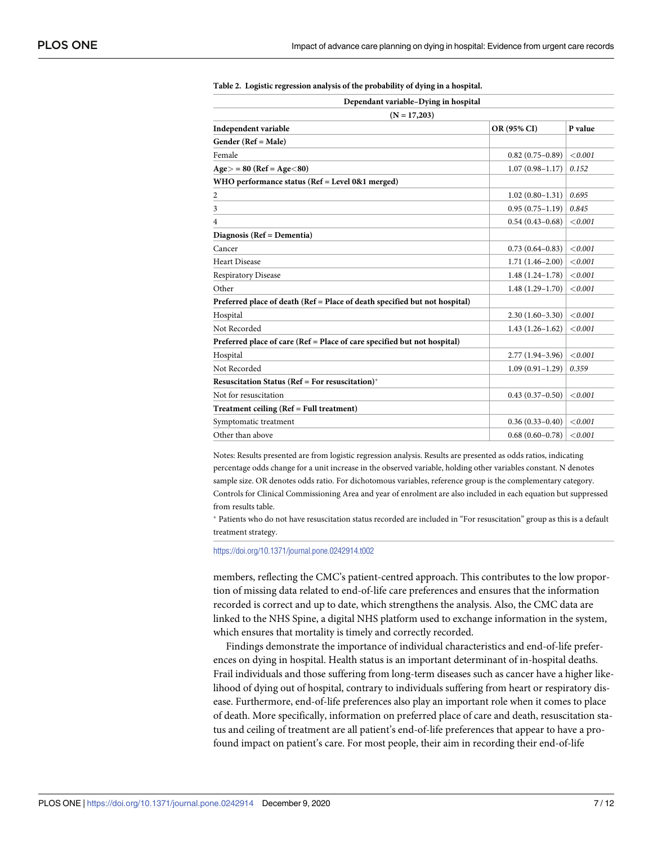| Dependant variable-Dying in hospital<br>$(N = 17,203)$                     |                     |         |  |  |  |
|----------------------------------------------------------------------------|---------------------|---------|--|--|--|
|                                                                            |                     |         |  |  |  |
| Gender (Ref = Male)                                                        |                     |         |  |  |  |
| Female                                                                     | $0.82(0.75-0.89)$   | < 0.001 |  |  |  |
| $Age$ = 80 (Ref = Age < 80)                                                | $1.07(0.98 - 1.17)$ | 0.152   |  |  |  |
| WHO performance status (Ref = Level 0&1 merged)                            |                     |         |  |  |  |
| 2                                                                          | $1.02(0.80-1.31)$   | 0.695   |  |  |  |
| 3                                                                          | $0.95(0.75-1.19)$   | 0.845   |  |  |  |
| 4                                                                          | $0.54(0.43 - 0.68)$ | < 0.001 |  |  |  |
| Diagnosis (Ref = Dementia)                                                 |                     |         |  |  |  |
| Cancer                                                                     | $0.73(0.64 - 0.83)$ | < 0.001 |  |  |  |
| <b>Heart Disease</b>                                                       | $1.71(1.46 - 2.00)$ | < 0.001 |  |  |  |
| <b>Respiratory Disease</b>                                                 | $1.48(1.24-1.78)$   | < 0.001 |  |  |  |
| Other                                                                      | $1.48(1.29-1.70)$   | < 0.001 |  |  |  |
| Preferred place of death (Ref = Place of death specified but not hospital) |                     |         |  |  |  |
| Hospital                                                                   | $2.30(1.60-3.30)$   | < 0.001 |  |  |  |
| Not Recorded                                                               | $1.43(1.26-1.62)$   | < 0.001 |  |  |  |
| Preferred place of care (Ref = Place of care specified but not hospital)   |                     |         |  |  |  |
| Hospital                                                                   | $2.77(1.94 - 3.96)$ | < 0.001 |  |  |  |
| Not Recorded                                                               | $1.09(0.91-1.29)$   | 0.359   |  |  |  |
| Resuscitation Status (Ref = For resuscitation)*                            |                     |         |  |  |  |
| Not for resuscitation                                                      | $0.43(0.37-0.50)$   | < 0.001 |  |  |  |
| Treatment ceiling (Ref = Full treatment)                                   |                     |         |  |  |  |
| Symptomatic treatment                                                      | $0.36(0.33 - 0.40)$ | < 0.001 |  |  |  |
| Other than above                                                           | $0.68(0.60 - 0.78)$ | < 0.001 |  |  |  |

<span id="page-6-0"></span>**[Table](#page-3-0) 2. Logistic regression analysis of the probability of dying in a hospital.**

Notes: Results presented are from logistic regression analysis. Results are presented as odds ratios, indicating percentage odds change for a unit increase in the observed variable, holding other variables constant. N denotes sample size. OR denotes odds ratio. For dichotomous variables, reference group is the complementary category. Controls for Clinical Commissioning Area and year of enrolment are also included in each equation but suppressed from results table.

� Patients who do not have resuscitation status recorded are included in "For resuscitation" group as this is a default treatment strategy.

<https://doi.org/10.1371/journal.pone.0242914.t002>

members, reflecting the CMC's patient-centred approach. This contributes to the low proportion of missing data related to end-of-life care preferences and ensures that the information recorded is correct and up to date, which strengthens the analysis. Also, the CMC data are linked to the NHS Spine, a digital NHS platform used to exchange information in the system, which ensures that mortality is timely and correctly recorded.

Findings demonstrate the importance of individual characteristics and end-of-life preferences on dying in hospital. Health status is an important determinant of in-hospital deaths. Frail individuals and those suffering from long-term diseases such as cancer have a higher likelihood of dying out of hospital, contrary to individuals suffering from heart or respiratory disease. Furthermore, end-of-life preferences also play an important role when it comes to place of death. More specifically, information on preferred place of care and death, resuscitation status and ceiling of treatment are all patient's end-of-life preferences that appear to have a profound impact on patient's care. For most people, their aim in recording their end-of-life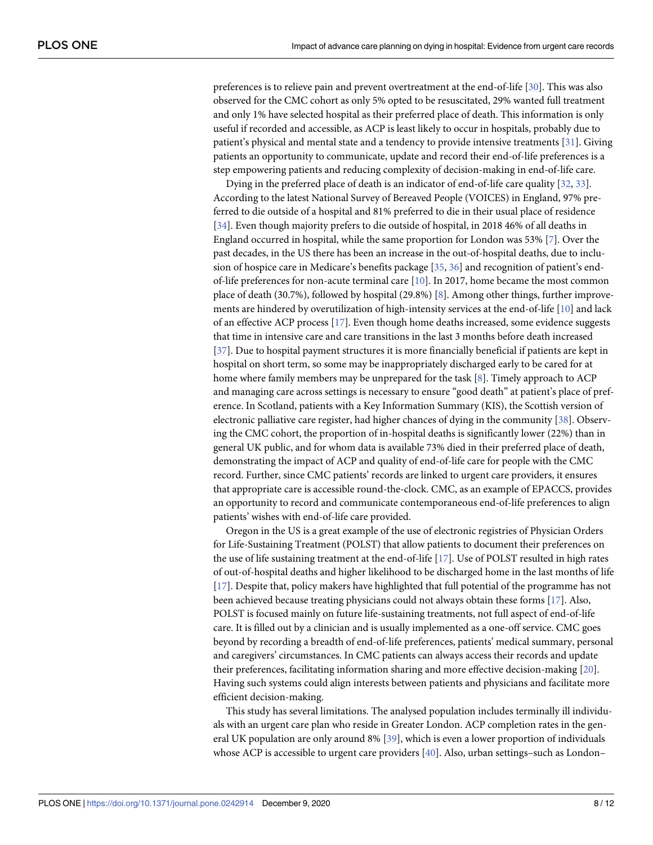<span id="page-7-0"></span>preferences is to relieve pain and prevent overtreatment at the end-of-life [[30](#page-10-0)]. This was also observed for the CMC cohort as only 5% opted to be resuscitated, 29% wanted full treatment and only 1% have selected hospital as their preferred place of death. This information is only useful if recorded and accessible, as ACP is least likely to occur in hospitals, probably due to patient's physical and mental state and a tendency to provide intensive treatments [\[31\]](#page-10-0). Giving patients an opportunity to communicate, update and record their end-of-life preferences is a step empowering patients and reducing complexity of decision-making in end-of-life care.

Dying in the preferred place of death is an indicator of end-of-life care quality [[32](#page-10-0), [33](#page-10-0)]. According to the latest National Survey of Bereaved People (VOICES) in England, 97% preferred to die outside of a hospital and 81% preferred to die in their usual place of residence [\[34\]](#page-10-0). Even though majority prefers to die outside of hospital, in 2018 46% of all deaths in England occurred in hospital, while the same proportion for London was 53% [[7](#page-9-0)]. Over the past decades, in the US there has been an increase in the out-of-hospital deaths, due to inclusion of hospice care in Medicare's benefits package [\[35,](#page-10-0) [36\]](#page-10-0) and recognition of patient's endof-life preferences for non-acute terminal care [[10](#page-9-0)]. In 2017, home became the most common place of death (30.7%), followed by hospital (29.8%) [[8\]](#page-9-0). Among other things, further improvements are hindered by overutilization of high-intensity services at the end-of-life [\[10\]](#page-9-0) and lack of an effective ACP process [[17](#page-9-0)]. Even though home deaths increased, some evidence suggests that time in intensive care and care transitions in the last 3 months before death increased [\[37\]](#page-10-0). Due to hospital payment structures it is more financially beneficial if patients are kept in hospital on short term, so some may be inappropriately discharged early to be cared for at home where family members may be unprepared for the task [[8\]](#page-9-0). Timely approach to ACP and managing care across settings is necessary to ensure "good death" at patient's place of preference. In Scotland, patients with a Key Information Summary (KIS), the Scottish version of electronic palliative care register, had higher chances of dying in the community [[38](#page-10-0)]. Observing the CMC cohort, the proportion of in-hospital deaths is significantly lower (22%) than in general UK public, and for whom data is available 73% died in their preferred place of death, demonstrating the impact of ACP and quality of end-of-life care for people with the CMC record. Further, since CMC patients' records are linked to urgent care providers, it ensures that appropriate care is accessible round-the-clock. CMC, as an example of EPACCS, provides an opportunity to record and communicate contemporaneous end-of-life preferences to align patients' wishes with end-of-life care provided.

Oregon in the US is a great example of the use of electronic registries of Physician Orders for Life-Sustaining Treatment (POLST) that allow patients to document their preferences on the use of life sustaining treatment at the end-of-life [[17](#page-9-0)]. Use of POLST resulted in high rates of out-of-hospital deaths and higher likelihood to be discharged home in the last months of life [\[17\]](#page-9-0). Despite that, policy makers have highlighted that full potential of the programme has not been achieved because treating physicians could not always obtain these forms [[17](#page-9-0)]. Also, POLST is focused mainly on future life-sustaining treatments, not full aspect of end-of-life care. It is filled out by a clinician and is usually implemented as a one-off service. CMC goes beyond by recording a breadth of end-of-life preferences, patients' medical summary, personal and caregivers' circumstances. In CMC patients can always access their records and update their preferences, facilitating information sharing and more effective decision-making [\[20\]](#page-10-0). Having such systems could align interests between patients and physicians and facilitate more efficient decision-making.

This study has several limitations. The analysed population includes terminally ill individuals with an urgent care plan who reside in Greater London. ACP completion rates in the general UK population are only around 8% [[39](#page-10-0)], which is even a lower proportion of individuals whose ACP is accessible to urgent care providers [\[40\]](#page-11-0). Also, urban settings–such as London–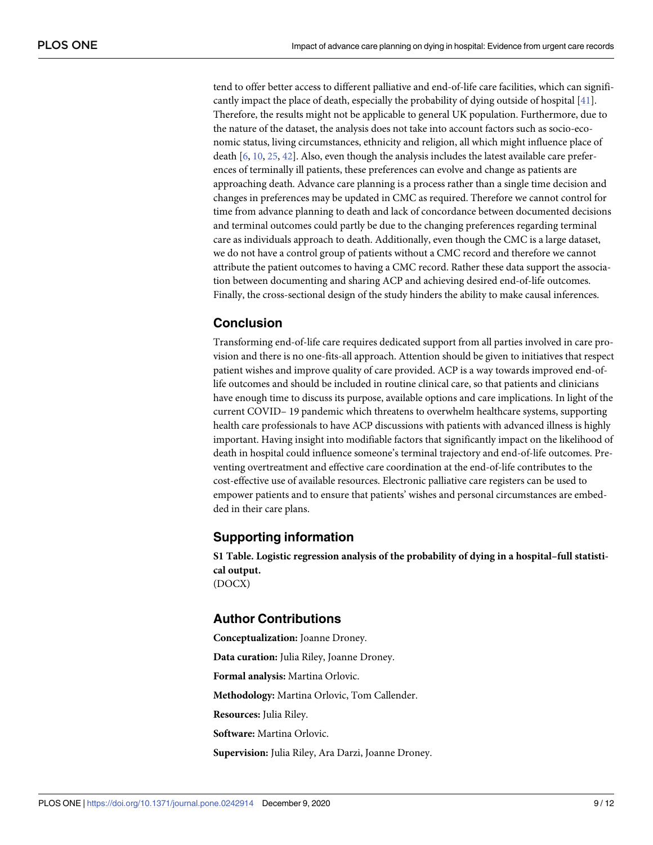<span id="page-8-0"></span>tend to offer better access to different palliative and end-of-life care facilities, which can significantly impact the place of death, especially the probability of dying outside of hospital [[41](#page-11-0)]. Therefore, the results might not be applicable to general UK population. Furthermore, due to the nature of the dataset, the analysis does not take into account factors such as socio-economic status, living circumstances, ethnicity and religion, all which might influence place of death [[6](#page-9-0), [10](#page-9-0), [25](#page-10-0), [42](#page-11-0)]. Also, even though the analysis includes the latest available care preferences of terminally ill patients, these preferences can evolve and change as patients are approaching death. Advance care planning is a process rather than a single time decision and changes in preferences may be updated in CMC as required. Therefore we cannot control for time from advance planning to death and lack of concordance between documented decisions and terminal outcomes could partly be due to the changing preferences regarding terminal care as individuals approach to death. Additionally, even though the CMC is a large dataset, we do not have a control group of patients without a CMC record and therefore we cannot attribute the patient outcomes to having a CMC record. Rather these data support the association between documenting and sharing ACP and achieving desired end-of-life outcomes. Finally, the cross-sectional design of the study hinders the ability to make causal inferences.

# **Conclusion**

Transforming end-of-life care requires dedicated support from all parties involved in care provision and there is no one-fits-all approach. Attention should be given to initiatives that respect patient wishes and improve quality of care provided. ACP is a way towards improved end-oflife outcomes and should be included in routine clinical care, so that patients and clinicians have enough time to discuss its purpose, available options and care implications. In light of the current COVID– 19 pandemic which threatens to overwhelm healthcare systems, supporting health care professionals to have ACP discussions with patients with advanced illness is highly important. Having insight into modifiable factors that significantly impact on the likelihood of death in hospital could influence someone's terminal trajectory and end-of-life outcomes. Preventing overtreatment and effective care coordination at the end-of-life contributes to the cost-effective use of available resources. Electronic palliative care registers can be used to empower patients and to ensure that patients' wishes and personal circumstances are embedded in their care plans.

# **Supporting information**

**S1 [Table.](http://www.plosone.org/article/fetchSingleRepresentation.action?uri=info:doi/10.1371/journal.pone.0242914.s001) Logistic regression analysis of the probability of dying in a hospital–full statistical output.** (DOCX)

# **Author Contributions**

**Conceptualization:** Joanne Droney. **Data curation:** Julia Riley, Joanne Droney. **Formal analysis:** Martina Orlovic. **Methodology:** Martina Orlovic, Tom Callender. **Resources:** Julia Riley. **Software:** Martina Orlovic. **Supervision:** Julia Riley, Ara Darzi, Joanne Droney.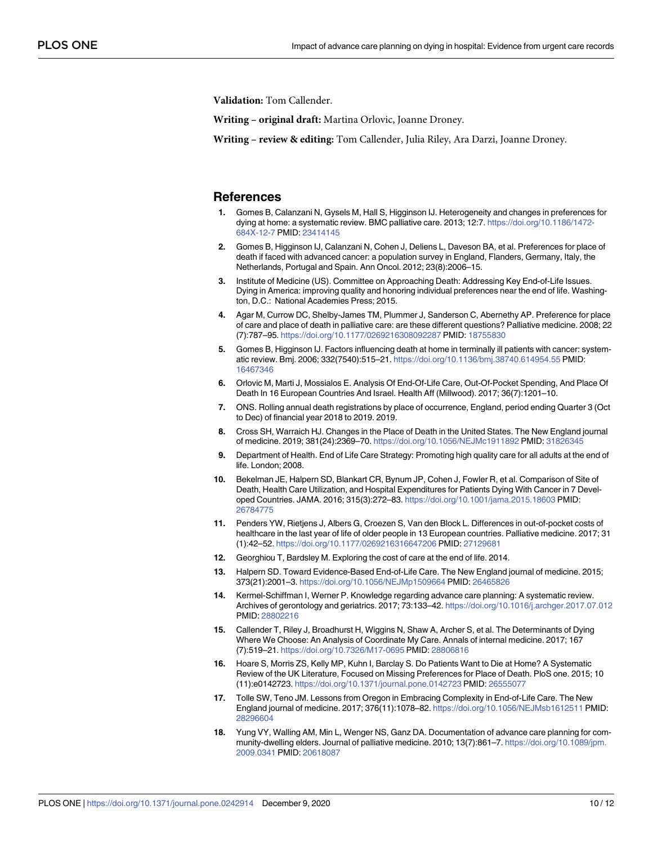<span id="page-9-0"></span>**Validation:** Tom Callender.

**Writing – original draft:** Martina Orlovic, Joanne Droney.

**Writing – review & editing:** Tom Callender, Julia Riley, Ara Darzi, Joanne Droney.

### **References**

- **[1](#page-1-0).** Gomes B, Calanzani N, Gysels M, Hall S, Higginson IJ. Heterogeneity and changes in preferences for dying at home: a systematic review. BMC palliative care. 2013; 12:7. [https://doi.org/10.1186/1472-](https://doi.org/10.1186/1472-684X-12-7) [684X-12-7](https://doi.org/10.1186/1472-684X-12-7) PMID: [23414145](http://www.ncbi.nlm.nih.gov/pubmed/23414145)
- **2.** Gomes B, Higginson IJ, Calanzani N, Cohen J, Deliens L, Daveson BA, et al. Preferences for place of death if faced with advanced cancer: a population survey in England, Flanders, Germany, Italy, the Netherlands, Portugal and Spain. Ann Oncol. 2012; 23(8):2006–15.
- **[3](#page-1-0).** Institute of Medicine (US). Committee on Approaching Death: Addressing Key End-of-Life Issues. Dying in America: improving quality and honoring individual preferences near the end of life. Washington, D.C.: National Academies Press; 2015.
- **[4](#page-1-0).** Agar M, Currow DC, Shelby-James TM, Plummer J, Sanderson C, Abernethy AP. Preference for place of care and place of death in palliative care: are these different questions? Palliative medicine. 2008; 22 (7):787–95. <https://doi.org/10.1177/0269216308092287> PMID: [18755830](http://www.ncbi.nlm.nih.gov/pubmed/18755830)
- **[5](#page-1-0).** Gomes B, Higginson IJ. Factors influencing death at home in terminally ill patients with cancer: systematic review. Bmj. 2006; 332(7540):515–21. <https://doi.org/10.1136/bmj.38740.614954.55> PMID: [16467346](http://www.ncbi.nlm.nih.gov/pubmed/16467346)
- **[6](#page-1-0).** Orlovic M, Marti J, Mossialos E. Analysis Of End-Of-Life Care, Out-Of-Pocket Spending, And Place Of Death In 16 European Countries And Israel. Health Aff (Millwood). 2017; 36(7):1201–10.
- **[7](#page-1-0).** ONS. Rolling annual death registrations by place of occurrence, England, period ending Quarter 3 (Oct to Dec) of financial year 2018 to 2019. 2019.
- **[8](#page-1-0).** Cross SH, Warraich HJ. Changes in the Place of Death in the United States. The New England journal of medicine. 2019; 381(24):2369–70. <https://doi.org/10.1056/NEJMc1911892> PMID: [31826345](http://www.ncbi.nlm.nih.gov/pubmed/31826345)
- **[9](#page-1-0).** Department of Health. End of Life Care Strategy: Promoting high quality care for all adults at the end of life. London; 2008.
- **[10](#page-1-0).** Bekelman JE, Halpern SD, Blankart CR, Bynum JP, Cohen J, Fowler R, et al. Comparison of Site of Death, Health Care Utilization, and Hospital Expenditures for Patients Dying With Cancer in 7 Developed Countries. JAMA. 2016; 315(3):272–83. <https://doi.org/10.1001/jama.2015.18603> PMID: [26784775](http://www.ncbi.nlm.nih.gov/pubmed/26784775)
- **[11](#page-1-0).** Penders YW, Rietjens J, Albers G, Croezen S, Van den Block L. Differences in out-of-pocket costs of healthcare in the last year of life of older people in 13 European countries. Palliative medicine. 2017; 31 (1):42–52. <https://doi.org/10.1177/0269216316647206> PMID: [27129681](http://www.ncbi.nlm.nih.gov/pubmed/27129681)
- **[12](#page-1-0).** Georghiou T, Bardsley M. Exploring the cost of care at the end of life. 2014.
- **[13](#page-1-0).** Halpern SD. Toward Evidence-Based End-of-Life Care. The New England journal of medicine. 2015; 373(21):2001–3. <https://doi.org/10.1056/NEJMp1509664> PMID: [26465826](http://www.ncbi.nlm.nih.gov/pubmed/26465826)
- **[14](#page-1-0).** Kermel-Schiffman I, Werner P. Knowledge regarding advance care planning: A systematic review. Archives of gerontology and geriatrics. 2017; 73:133–42. <https://doi.org/10.1016/j.archger.2017.07.012> PMID: [28802216](http://www.ncbi.nlm.nih.gov/pubmed/28802216)
- **[15](#page-1-0).** Callender T, Riley J, Broadhurst H, Wiggins N, Shaw A, Archer S, et al. The Determinants of Dying Where We Choose: An Analysis of Coordinate My Care. Annals of internal medicine. 2017; 167 (7):519–21. <https://doi.org/10.7326/M17-0695> PMID: [28806816](http://www.ncbi.nlm.nih.gov/pubmed/28806816)
- **[16](#page-1-0).** Hoare S, Morris ZS, Kelly MP, Kuhn I, Barclay S. Do Patients Want to Die at Home? A Systematic Review of the UK Literature, Focused on Missing Preferences for Place of Death. PloS one. 2015; 10 (11):e0142723. <https://doi.org/10.1371/journal.pone.0142723> PMID: [26555077](http://www.ncbi.nlm.nih.gov/pubmed/26555077)
- **[17](#page-1-0).** Tolle SW, Teno JM. Lessons from Oregon in Embracing Complexity in End-of-Life Care. The New England journal of medicine. 2017; 376(11):1078–82. <https://doi.org/10.1056/NEJMsb1612511> PMID: [28296604](http://www.ncbi.nlm.nih.gov/pubmed/28296604)
- **[18](#page-1-0).** Yung VY, Walling AM, Min L, Wenger NS, Ganz DA. Documentation of advance care planning for community-dwelling elders. Journal of palliative medicine. 2010; 13(7):861–7. [https://doi.org/10.1089/jpm.](https://doi.org/10.1089/jpm.2009.0341) [2009.0341](https://doi.org/10.1089/jpm.2009.0341) PMID: [20618087](http://www.ncbi.nlm.nih.gov/pubmed/20618087)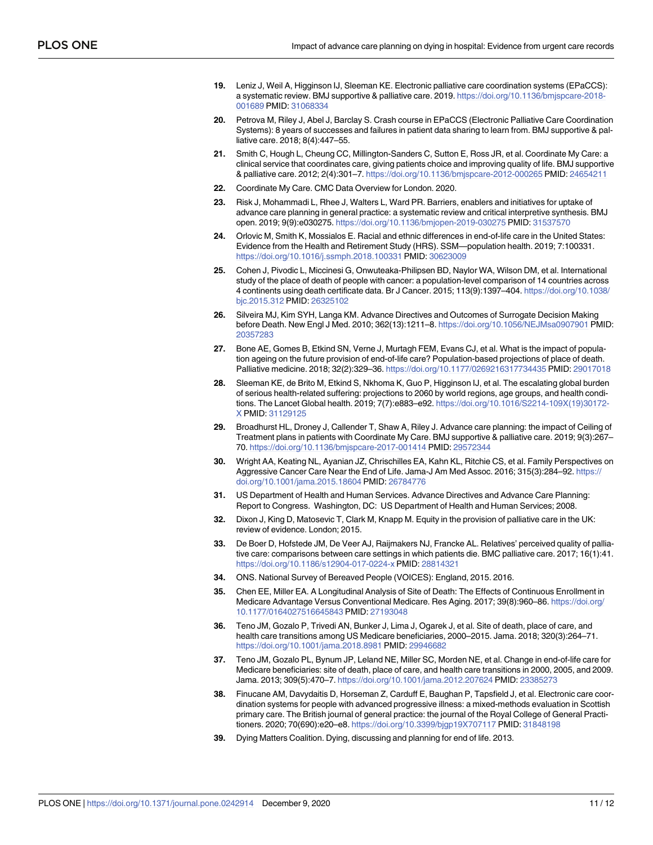- <span id="page-10-0"></span>**[19](#page-1-0).** Leniz J, Weil A, Higginson IJ, Sleeman KE. Electronic palliative care coordination systems (EPaCCS): a systematic review. BMJ supportive & palliative care. 2019. [https://doi.org/10.1136/bmjspcare-2018-](https://doi.org/10.1136/bmjspcare-2018-001689) [001689](https://doi.org/10.1136/bmjspcare-2018-001689) PMID: [31068334](http://www.ncbi.nlm.nih.gov/pubmed/31068334)
- **[20](#page-1-0).** Petrova M, Riley J, Abel J, Barclay S. Crash course in EPaCCS (Electronic Palliative Care Coordination Systems): 8 years of successes and failures in patient data sharing to learn from. BMJ supportive & palliative care. 2018; 8(4):447–55.
- **[21](#page-1-0).** Smith C, Hough L, Cheung CC, Millington-Sanders C, Sutton E, Ross JR, et al. Coordinate My Care: a clinical service that coordinates care, giving patients choice and improving quality of life. BMJ supportive & palliative care. 2012; 2(4):301–7. <https://doi.org/10.1136/bmjspcare-2012-000265> PMID: [24654211](http://www.ncbi.nlm.nih.gov/pubmed/24654211)
- **[22](#page-1-0).** Coordinate My Care. CMC Data Overview for London. 2020.
- **[23](#page-2-0).** Risk J, Mohammadi L, Rhee J, Walters L, Ward PR. Barriers, enablers and initiatives for uptake of advance care planning in general practice: a systematic review and critical interpretive synthesis. BMJ open. 2019; 9(9):e030275. <https://doi.org/10.1136/bmjopen-2019-030275> PMID: [31537570](http://www.ncbi.nlm.nih.gov/pubmed/31537570)
- **[24](#page-2-0).** Orlovic M, Smith K, Mossialos E. Racial and ethnic differences in end-of-life care in the United States: Evidence from the Health and Retirement Study (HRS). SSM—population health. 2019; 7:100331. <https://doi.org/10.1016/j.ssmph.2018.100331> PMID: [30623009](http://www.ncbi.nlm.nih.gov/pubmed/30623009)
- **[25](#page-2-0).** Cohen J, Pivodic L, Miccinesi G, Onwuteaka-Philipsen BD, Naylor WA, Wilson DM, et al. International study of the place of death of people with cancer: a population-level comparison of 14 countries across 4 continents using death certificate data. Br J Cancer. 2015; 113(9):1397–404. [https://doi.org/10.1038/](https://doi.org/10.1038/bjc.2015.312) [bjc.2015.312](https://doi.org/10.1038/bjc.2015.312) PMID: [26325102](http://www.ncbi.nlm.nih.gov/pubmed/26325102)
- **[26](#page-2-0).** Silveira MJ, Kim SYH, Langa KM. Advance Directives and Outcomes of Surrogate Decision Making before Death. New Engl J Med. 2010; 362(13):1211–8. <https://doi.org/10.1056/NEJMsa0907901> PMID: [20357283](http://www.ncbi.nlm.nih.gov/pubmed/20357283)
- **[27](#page-2-0).** Bone AE, Gomes B, Etkind SN, Verne J, Murtagh FEM, Evans CJ, et al. What is the impact of population ageing on the future provision of end-of-life care? Population-based projections of place of death. Palliative medicine. 2018; 32(2):329–36. <https://doi.org/10.1177/0269216317734435> PMID: [29017018](http://www.ncbi.nlm.nih.gov/pubmed/29017018)
- **[28](#page-2-0).** Sleeman KE, de Brito M, Etkind S, Nkhoma K, Guo P, Higginson IJ, et al. The escalating global burden of serious health-related suffering: projections to 2060 by world regions, age groups, and health conditions. The Lancet Global health. 2019; 7(7):e883–e92. [https://doi.org/10.1016/S2214-109X\(19\)30172-](https://doi.org/10.1016/S2214-109X%2819%2930172-X) [X](https://doi.org/10.1016/S2214-109X%2819%2930172-X) PMID: [31129125](http://www.ncbi.nlm.nih.gov/pubmed/31129125)
- **[29](#page-2-0).** Broadhurst HL, Droney J, Callender T, Shaw A, Riley J. Advance care planning: the impact of Ceiling of Treatment plans in patients with Coordinate My Care. BMJ supportive & palliative care. 2019; 9(3):267– 70. <https://doi.org/10.1136/bmjspcare-2017-001414> PMID: [29572344](http://www.ncbi.nlm.nih.gov/pubmed/29572344)
- **[30](#page-7-0).** Wright AA, Keating NL, Ayanian JZ, Chrischilles EA, Kahn KL, Ritchie CS, et al. Family Perspectives on Aggressive Cancer Care Near the End of Life. Jama-J Am Med Assoc. 2016; 315(3):284–92. [https://](https://doi.org/10.1001/jama.2015.18604) [doi.org/10.1001/jama.2015.18604](https://doi.org/10.1001/jama.2015.18604) PMID: [26784776](http://www.ncbi.nlm.nih.gov/pubmed/26784776)
- **[31](#page-7-0).** US Department of Health and Human Services. Advance Directives and Advance Care Planning: Report to Congress. Washington, DC: US Department of Health and Human Services; 2008.
- **[32](#page-7-0).** Dixon J, King D, Matosevic T, Clark M, Knapp M. Equity in the provision of palliative care in the UK: review of evidence. London; 2015.
- **[33](#page-7-0).** De Boer D, Hofstede JM, De Veer AJ, Raijmakers NJ, Francke AL. Relatives' perceived quality of palliative care: comparisons between care settings in which patients die. BMC palliative care. 2017; 16(1):41. <https://doi.org/10.1186/s12904-017-0224-x> PMID: [28814321](http://www.ncbi.nlm.nih.gov/pubmed/28814321)
- **[34](#page-7-0).** ONS. National Survey of Bereaved People (VOICES): England, 2015. 2016.
- **[35](#page-7-0).** Chen EE, Miller EA. A Longitudinal Analysis of Site of Death: The Effects of Continuous Enrollment in Medicare Advantage Versus Conventional Medicare. Res Aging. 2017; 39(8):960–86. [https://doi.org/](https://doi.org/10.1177/0164027516645843) [10.1177/0164027516645843](https://doi.org/10.1177/0164027516645843) PMID: [27193048](http://www.ncbi.nlm.nih.gov/pubmed/27193048)
- **[36](#page-7-0).** Teno JM, Gozalo P, Trivedi AN, Bunker J, Lima J, Ogarek J, et al. Site of death, place of care, and health care transitions among US Medicare beneficiaries, 2000–2015. Jama. 2018; 320(3):264–71. <https://doi.org/10.1001/jama.2018.8981> PMID: [29946682](http://www.ncbi.nlm.nih.gov/pubmed/29946682)
- **[37](#page-7-0).** Teno JM, Gozalo PL, Bynum JP, Leland NE, Miller SC, Morden NE, et al. Change in end-of-life care for Medicare beneficiaries: site of death, place of care, and health care transitions in 2000, 2005, and 2009. Jama. 2013; 309(5):470–7. <https://doi.org/10.1001/jama.2012.207624> PMID: [23385273](http://www.ncbi.nlm.nih.gov/pubmed/23385273)
- **[38](#page-7-0).** Finucane AM, Davydaitis D, Horseman Z, Carduff E, Baughan P, Tapsfield J, et al. Electronic care coordination systems for people with advanced progressive illness: a mixed-methods evaluation in Scottish primary care. The British journal of general practice: the journal of the Royal College of General Practitioners. 2020; 70(690):e20–e8. <https://doi.org/10.3399/bjgp19X707117> PMID: [31848198](http://www.ncbi.nlm.nih.gov/pubmed/31848198)
- **[39](#page-7-0).** Dying Matters Coalition. Dying, discussing and planning for end of life. 2013.